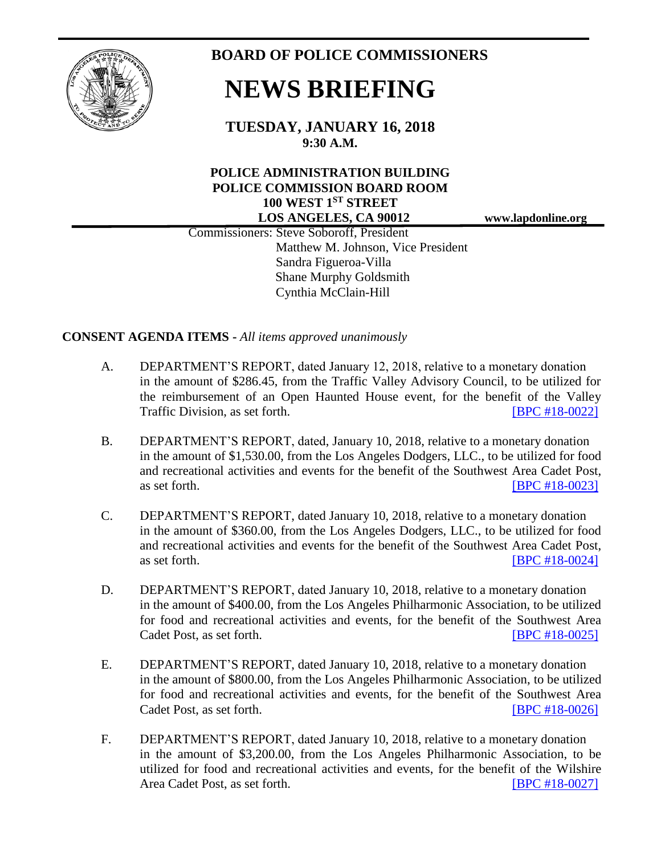

**BOARD OF POLICE COMMISSIONERS**

## **NEWS BRIEFING**

**TUESDAY, JANUARY 16, 2018 9:30 A.M.**

## **POLICE ADMINISTRATION BUILDING POLICE COMMISSION BOARD ROOM 100 WEST 1ST STREET LOS ANGELES, CA 90012 www.lapdonline.org**

 Commissioners: Steve Soboroff, President Matthew M. Johnson, Vice President Sandra Figueroa-Villa Shane Murphy Goldsmith Cynthia McClain-Hill

**CONSENT AGENDA ITEMS -** *All items approved unanimously*

- A. DEPARTMENT'S REPORT, dated January 12, 2018, relative to a monetary donation in the amount of \$286.45, from the Traffic Valley Advisory Council, to be utilized for the reimbursement of an Open Haunted House event, for the benefit of the Valley Traffic Division, as set forth. **ISPC #18-00221**
- B. DEPARTMENT'S REPORT, dated, January 10, 2018, relative to a monetary donation in the amount of \$1,530.00, from the Los Angeles Dodgers, LLC., to be utilized for food and recreational activities and events for the benefit of the Southwest Area Cadet Post, as set forth. **IBPC #18-00231**
- C. DEPARTMENT'S REPORT, dated January 10, 2018, relative to a monetary donation in the amount of \$360.00, from the Los Angeles Dodgers, LLC., to be utilized for food and recreational activities and events for the benefit of the Southwest Area Cadet Post, as set forth. **IBPC #18-0024]**
- D. DEPARTMENT'S REPORT, dated January 10, 2018, relative to a monetary donation in the amount of \$400.00, from the Los Angeles Philharmonic Association, to be utilized for food and recreational activities and events, for the benefit of the Southwest Area Cadet Post, as set forth. **[BPC [#18-0025\]](http://www.lapdpolicecom.lacity.org/011618/BPC_18-0025.pdf)**
- E. DEPARTMENT'S REPORT, dated January 10, 2018, relative to a monetary donation in the amount of \$800.00, from the Los Angeles Philharmonic Association, to be utilized for food and recreational activities and events, for the benefit of the Southwest Area Cadet Post, as set forth. **[\[BPC #18-0026\]](http://www.lapdpolicecom.lacity.org/011618/BPC_18-0026.pdf)**
- F. DEPARTMENT'S REPORT, dated January 10, 2018, relative to a monetary donation in the amount of \$3,200.00, from the Los Angeles Philharmonic Association, to be utilized for food and recreational activities and events, for the benefit of the Wilshire Area Cadet Post, as set forth. **[\[BPC #18-0027\]](http://www.lapdpolicecom.lacity.org/011618/BPC_18-0027.pdf)**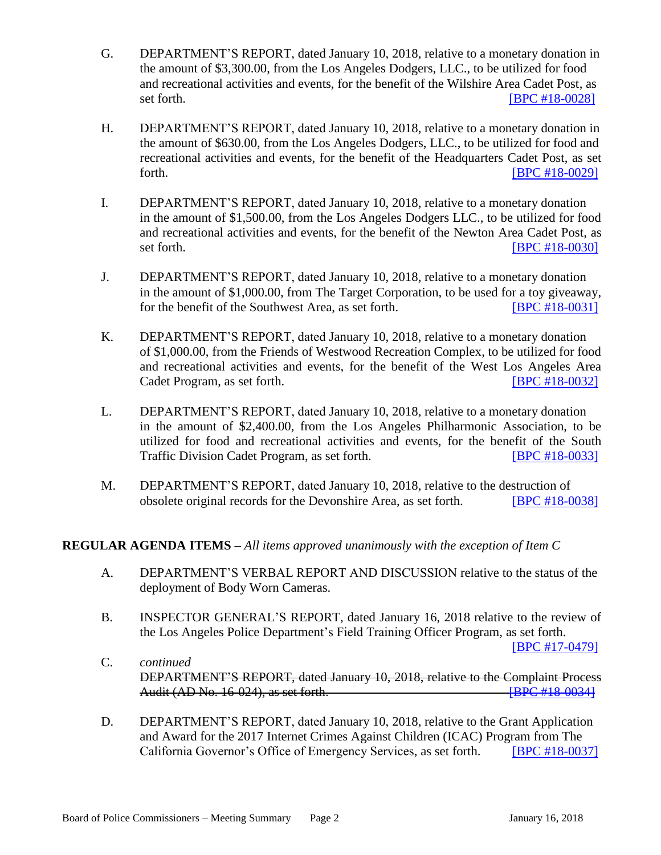- G. DEPARTMENT'S REPORT, dated January 10, 2018, relative to a monetary donation in the amount of \$3,300.00, from the Los Angeles Dodgers, LLC., to be utilized for food and recreational activities and events, for the benefit of the Wilshire Area Cadet Post, as set forth. **IBPC #18-0028]**
- H. DEPARTMENT'S REPORT, dated January 10, 2018, relative to a monetary donation in the amount of \$630.00, from the Los Angeles Dodgers, LLC., to be utilized for food and recreational activities and events, for the benefit of the Headquarters Cadet Post, as set forth. **IBPC** #18-0029]
- I. DEPARTMENT'S REPORT, dated January 10, 2018, relative to a monetary donation in the amount of \$1,500.00, from the Los Angeles Dodgers LLC., to be utilized for food and recreational activities and events, for the benefit of the Newton Area Cadet Post, as set forth. **IBPC #18-0030**
- J. DEPARTMENT'S REPORT, dated January 10, 2018, relative to a monetary donation in the amount of \$1,000.00, from The Target Corporation, to be used for a toy giveaway, for the benefit of the Southwest Area, as set forth. **IBPC #18-0031]**
- K. DEPARTMENT'S REPORT, dated January 10, 2018, relative to a monetary donation of \$1,000.00, from the Friends of Westwood Recreation Complex, to be utilized for food and recreational activities and events, for the benefit of the West Los Angeles Area Cadet Program, as set forth. [\[BPC #18-0032\]](http://www.lapdpolicecom.lacity.org/011618/BPC_18-0032.pdf)
- L. DEPARTMENT'S REPORT, dated January 10, 2018, relative to a monetary donation in the amount of \$2,400.00, from the Los Angeles Philharmonic Association, to be utilized for food and recreational activities and events, for the benefit of the South Traffic Division Cadet Program, as set forth. [\[BPC #18-0033\]](http://www.lapdpolicecom.lacity.org/011618/BPC_18-0033.pdf)
- M. DEPARTMENT'S REPORT, dated January 10, 2018, relative to the destruction of obsolete original records for the Devonshire Area, as set forth. [\[BPC #18-0038\]](http://www.lapdpolicecom.lacity.org/011618/BPC_18-0038.pdf)

## **REGULAR AGENDA ITEMS –** *All items approved unanimously with the exception of Item C*

- A. DEPARTMENT'S VERBAL REPORT AND DISCUSSION relative to the status of the deployment of Body Worn Cameras.
- B. INSPECTOR GENERAL'S REPORT, dated January 16, 2018 relative to the review of the Los Angeles Police Department's Field Training Officer Program, as set forth.

[\[BPC #17-0479\]](http://www.lapdpolicecom.lacity.org/011618/BPC_17-0479.pdf)

- C. *continued* DEPARTMENT'S REPORT, dated January 10, 2018, relative to the Complaint Process Audit (AD No. 16-024), as set forth. [\[BPC #18-0034\]](http://www.lapdpolicecom.lacity.org/011618/BPC_18-0034.pdf)
- D. DEPARTMENT'S REPORT, dated January 10, 2018, relative to the Grant Application and Award for the 2017 Internet Crimes Against Children (ICAC) Program from The California Governor's Office of Emergency Services, as set forth. [\[BPC #18-0037\]](http://www.lapdpolicecom.lacity.org/011618/BPC_18-0037.pdf)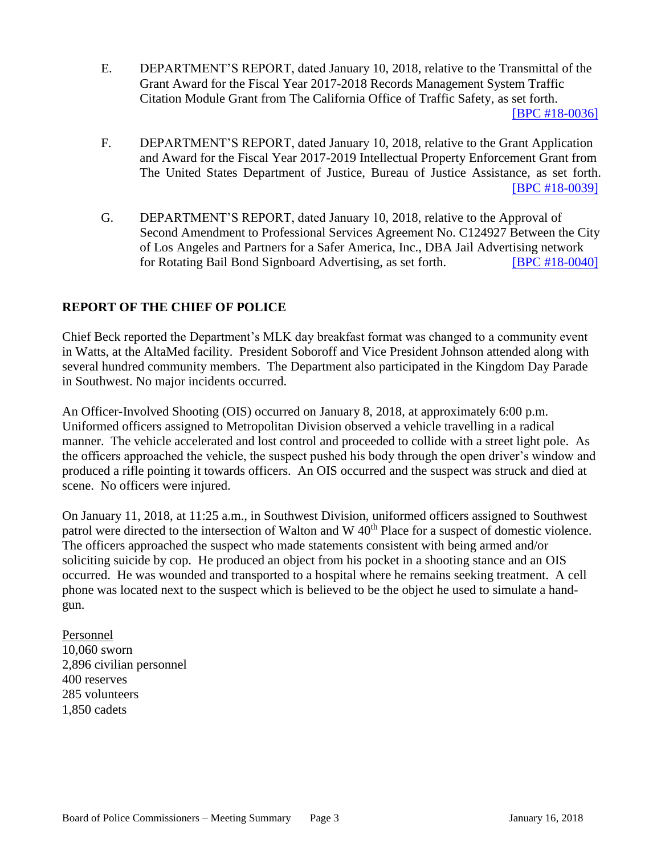- E. DEPARTMENT'S REPORT, dated January 10, 2018, relative to the Transmittal of the Grant Award for the Fiscal Year 2017-2018 Records Management System Traffic Citation Module Grant from The California Office of Traffic Safety, as set forth. [\[BPC #18-0036\]](http://www.lapdpolicecom.lacity.org/011618/BPC_18-0036.pdf)
- F. DEPARTMENT'S REPORT, dated January 10, 2018, relative to the Grant Application and Award for the Fiscal Year 2017-2019 Intellectual Property Enforcement Grant from The United States Department of Justice, Bureau of Justice Assistance, as set forth. [\[BPC #18-0039\]](http://www.lapdpolicecom.lacity.org/011618/BPC_18-0039.pdf)
- G. DEPARTMENT'S REPORT, dated January 10, 2018, relative to the Approval of Second Amendment to Professional Services Agreement No. C124927 Between the City of Los Angeles and Partners for a Safer America, Inc., DBA Jail Advertising network for Rotating Bail Bond Signboard Advertising, as set forth. [\[BPC #18-0040\]](http://www.lapdpolicecom.lacity.org/011618/BPC_18-0040.pdf)

## **REPORT OF THE CHIEF OF POLICE**

Chief Beck reported the Department's MLK day breakfast format was changed to a community event in Watts, at the AltaMed facility. President Soboroff and Vice President Johnson attended along with several hundred community members. The Department also participated in the Kingdom Day Parade in Southwest. No major incidents occurred.

An Officer-Involved Shooting (OIS) occurred on January 8, 2018, at approximately 6:00 p.m. Uniformed officers assigned to Metropolitan Division observed a vehicle travelling in a radical manner. The vehicle accelerated and lost control and proceeded to collide with a street light pole. As the officers approached the vehicle, the suspect pushed his body through the open driver's window and produced a rifle pointing it towards officers. An OIS occurred and the suspect was struck and died at scene. No officers were injured.

On January 11, 2018, at 11:25 a.m., in Southwest Division, uniformed officers assigned to Southwest patrol were directed to the intersection of Walton and W 40<sup>th</sup> Place for a suspect of domestic violence. The officers approached the suspect who made statements consistent with being armed and/or soliciting suicide by cop. He produced an object from his pocket in a shooting stance and an OIS occurred. He was wounded and transported to a hospital where he remains seeking treatment. A cell phone was located next to the suspect which is believed to be the object he used to simulate a handgun.

Personnel 10,060 sworn 2,896 civilian personnel 400 reserves 285 volunteers 1,850 cadets